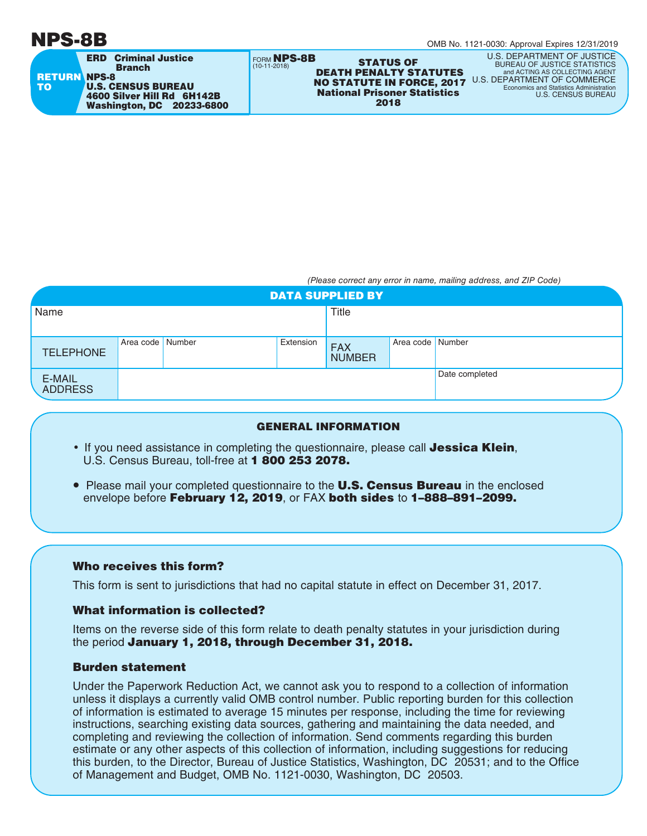FORM **NPS-8B** RETURN NPS-8 TO ERD Criminal Justice Branch U.S. CENSUS BUREAU 4600 Silver Hill Rd 6H142B Washington, DC 20233-6800

**EXECUTES STATUS OF<br>10-11-2018 DEATH PENALTY STATUTES** DEATH PENALTY STATUTES NO STATUTE IN FORCE, 2017 National Prisoner Statistics 2018

U.S. DEPARTMENT OF JUSTICE **BUREAU OF JUSTICE STATISTICS**<br>and ACTING AS COLLECTING AGENT and ACTING AS COLLECTING AGENT U.S. DEPARTMENT OF COMMERCE Economics and Statistics Administration U.S. CENSUS BUREAU

(Please correct any error in name, mailing address, and ZIP Code)

| <b>DATA SUPPLIED BY</b>  |                  |  |           |                             |                  |                |  |
|--------------------------|------------------|--|-----------|-----------------------------|------------------|----------------|--|
| Name                     |                  |  |           | <b>Title</b>                |                  |                |  |
|                          |                  |  |           |                             |                  |                |  |
| <b>TELEPHONE</b>         | Area code Number |  | Extension | <b>FAX</b><br><b>NUMBER</b> | Area code Number |                |  |
| E-MAIL<br><b>ADDRESS</b> |                  |  |           |                             |                  | Date completed |  |

#### GENERAL INFORMATION

- If you need assistance in completing the questionnaire, please call **Jessica Klein**, U.S. Census Bureau, toll-free at 1 800 253 2078.
- Please mail your completed questionnaire to the **U.S. Census Bureau** in the enclosed envelope before February 12, 2019, or FAX both sides to 1-888-891-2099.

## Who receives this form?

This form is sent to jurisdictions that had no capital statute in effect on December 31, 2017.

## What information is collected?

Items on the reverse side of this form relate to death penalty statutes in your jurisdiction during the period January 1, 2018, through December 31, 2018.

# Burden statement

Under the Paperwork Reduction Act, we cannot ask you to respond to a collection of information unless it displays a currently valid OMB control number. Public reporting burden for this collection of information is estimated to average 15 minutes per response, including the time for reviewing instructions, searching existing data sources, gathering and maintaining the data needed, and completing and reviewing the collection of information. Send comments regarding this burden estimate or any other aspects of this collection of information, including suggestions for reducing this burden, to the Director, Bureau of Justice Statistics, Washington, DC 20531; and to the Office of Management and Budget, OMB No. 1121-0030, Washington, DC 20503.